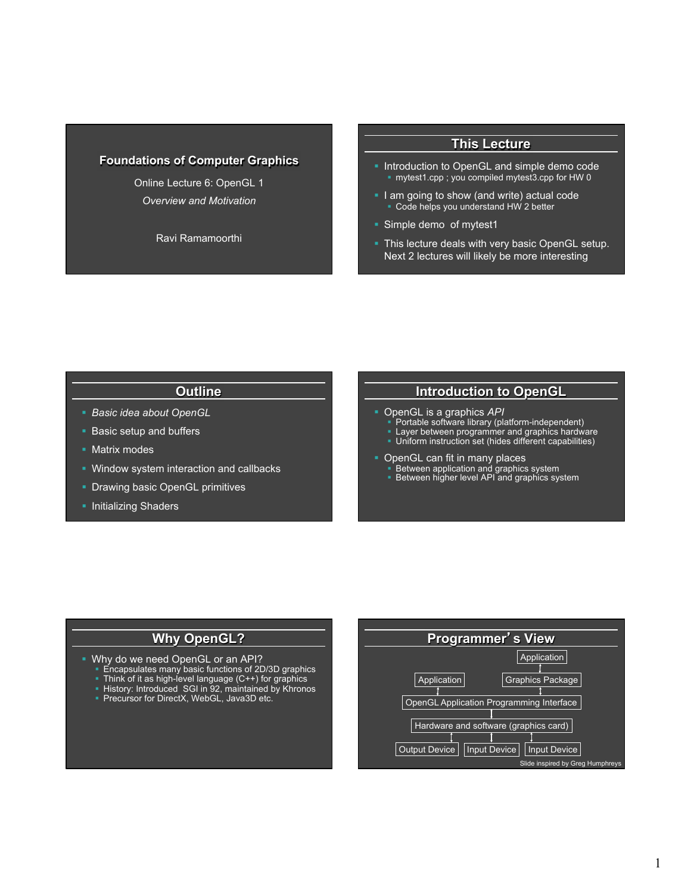## **Foundations of Computer Graphics**

Online Lecture 6: OpenGL 1 *Overview and Motivation* 

Ravi Ramamoorthi

## **This Lecture**

- Introduction to OpenGL and simple demo code • mytest1.cpp ; you compiled mytest3.cpp for HW 0
- **I** I am going to show (and write) actual code ■ Code helps you understand HW 2 better
- Simple demo of mytest1
- This lecture deals with very basic OpenGL setup. Next 2 lectures will likely be more interesting

## **Outline**

- § *Basic idea about OpenGL*
- **Basic setup and buffers**
- § Matrix modes

í

- § Window system interaction and callbacks
- **Drawing basic OpenGL primitives**
- **Initializing Shaders**

## **Introduction to OpenGL**

- § OpenGL is a graphics *API*
	- Portable software library (platform-independent)
	- Layer between programmer and graphics hardware
	- Uniform instruction set (hides different capabilities)
- OpenGL can fit in many places
	- Between application and graphics system
	- Between higher level API and graphics system

## **Why OpenGL?**

- Why do we need OpenGL or an API?
	- Encapsulates many basic functions of 2D/3D graphics
	- Think of it as high-level language (C++) for graphics
	- § History: Introduced SGI in 92, maintained by Khronos
	- § Precursor for DirectX, WebGL, Java3D etc.

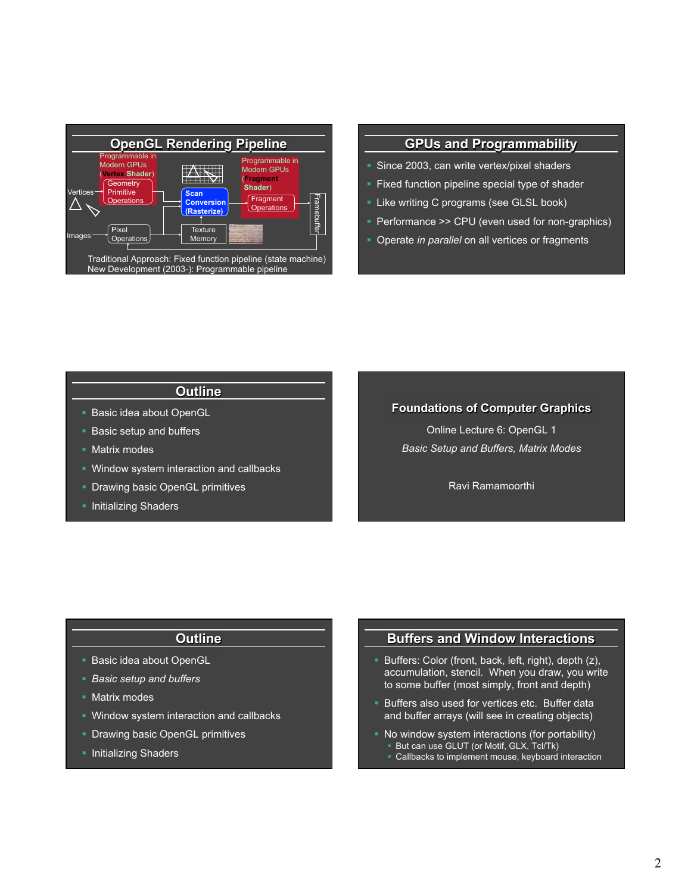

## **GPUs and Programmability**

- § Since 2003, can write vertex/pixel shaders
- Fixed function pipeline special type of shader
- Like writing C programs (see GLSL book)
- § Performance >> CPU (even used for non-graphics)
- § Operate *in parallel* on all vertices or fragments

## **Outline**

- **Basic idea about OpenGL**
- **Basic setup and buffers**
- Matrix modes
- § Window system interaction and callbacks
- **Drawing basic OpenGL primitives**
- Initializing Shaders

## **Foundations of Computer Graphics**

Online Lecture 6: OpenGL 1 *Basic Setup and Buffers, Matrix Modes* 

Ravi Ramamoorthi

## **Outline**

- **Basic idea about OpenGL**
- § *Basic setup and buffers*
- § Matrix modes
- Window system interaction and callbacks
- Drawing basic OpenGL primitives
- **Initializing Shaders**

## **Buffers and Window Interactions**

- Buffers: Color (front, back, left, right), depth (z), accumulation, stencil. When you draw, you write to some buffer (most simply, front and depth)
- Buffers also used for vertices etc. Buffer data and buffer arrays (will see in creating objects)
- No window system interactions (for portability) **But can use GLUT (or Motif, GLX, Tcl/Tk)** 
	- Callbacks to implement mouse, keyboard interaction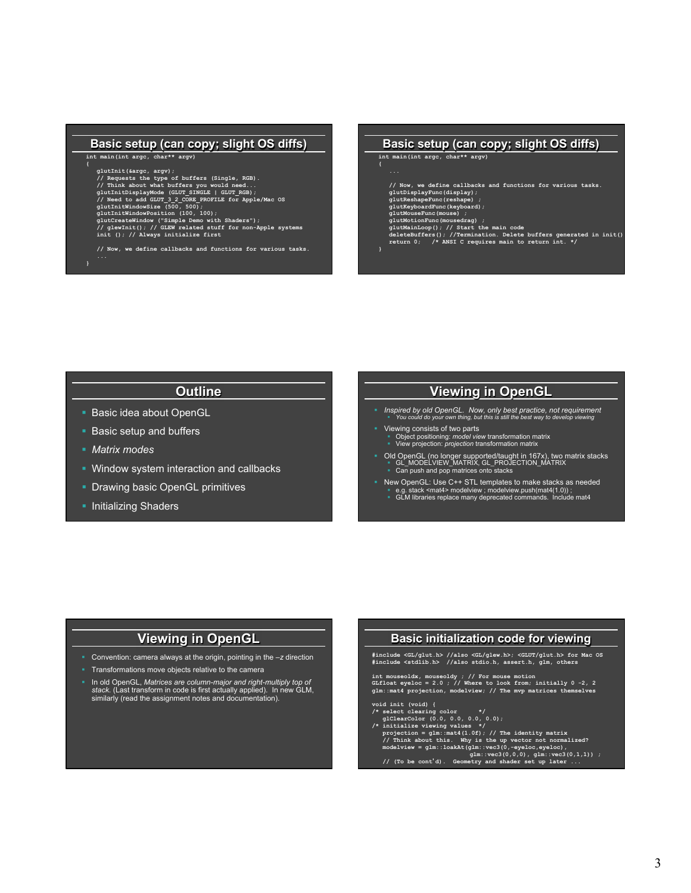#### **Basic setup (can copy; slight OS diffs)**

#### **int main(int argc, char\*\* argv) {**

- 
- 
- 
- 
- 
- 
- dultInit(sarge, argv);<br>
// Requests the type of buffers (Single, RGB).<br>
// Think about what buffers you would need...<br>
glutInitDisplayMode (GLUT\_SINGLE | GLUT\_RGB);<br>
// Need to add GLUT\_3\_2\_CORE\_PROFILE for Apple/Mac OS<br>
g
	-

 **// Now, we define callbacks and functions for various tasks.** 

#### **Basic setup (can copy; slight OS diffs)**

- **int main(int argc, char\*\* argv)**
- **// Now, we define callbacks and functions for various tasks. glutDisplayFunc(display); glutReshapeFunc(reshape) ;**  glutKeyboardFunc(keyboard);<br>glutMouseFunc(mouse);<br>glutMotionFunc(mousedrag);<br>dlutMainLoop(); // Start the main code<br>deleteBuffers(); //Termination. Delete buffers generated in init()<br>return 0; /\* ANSI C requires main to re
- - **}**

## **Outline**

- **Basic idea about OpenGL**
- Basic setup and buffers
- § *Matrix modes*

**}** 

- § Window system interaction and callbacks
- **Drawing basic OpenGL primitives**
- Initializing Shaders

## **Viewing in OpenGL**

- § *Inspired by old OpenGL. Now, only best practice, not requirement*  § *You could do your own thing, but this is still the best way to develop viewing*
- § Viewing consists of two parts § Object positioning: *model view* transformation matrix § View projection: *projection* transformation matrix
- § Old OpenGL (no longer supported/taught in 167x), two matrix stacks § GL\_MODELVIEW\_MATRIX, GL\_PROJECTION\_MATRIX SE\_MODEL TIL TILM TITLER, OF\_TITLER<br>Can push and pop matrices onto stacks
- New OpenGL: Use C++ STL templates to make stacks as needed<br>
 e.g. stack <mat4> modelview ; modelview.push(mat4(1.0)) ;<br>
 GLM libraries replace many deprecated commands. Include mat4

- § Convention: camera always at the origin, pointing in the –*z* direction
- § Transformations move objects relative to the camera
- § In old OpenGL, *Matrices are column-major and right-multiply top of stack*. (Last transform in code is first actually applied). In new GLM, similarly (read the assignment notes and documentation).

## **Viewing in OpenGL Basic initialization code for viewing vertically assumed by Basic initialization code for viewing**

**#include <GL/glut.h> //also <GL/glew.h>; <GLUT/glut.h> for Mac OS #include <stdlib.h> //also stdio.h, assert.h, glm, others** 

**int mouseoldx, mouseoldy ; // For mouse motion GLfloat eyeloc = 2.0 ; // Where to look from; initially 0 -2, 2 glm::mat4 projection, modelview; // The mvp matrices themselves** 

- 
- 
- 
- void init (void) {<br>
/\* select clearing color \*/<br>
glClearColor (0.0, 0.0, 0.0, 0.0);<br>
/\* initialize viewing values \*/<br>
projection = glm::mat4(1.0f); // The identity matrix<br>
// Think about this. Why is the up vector not norm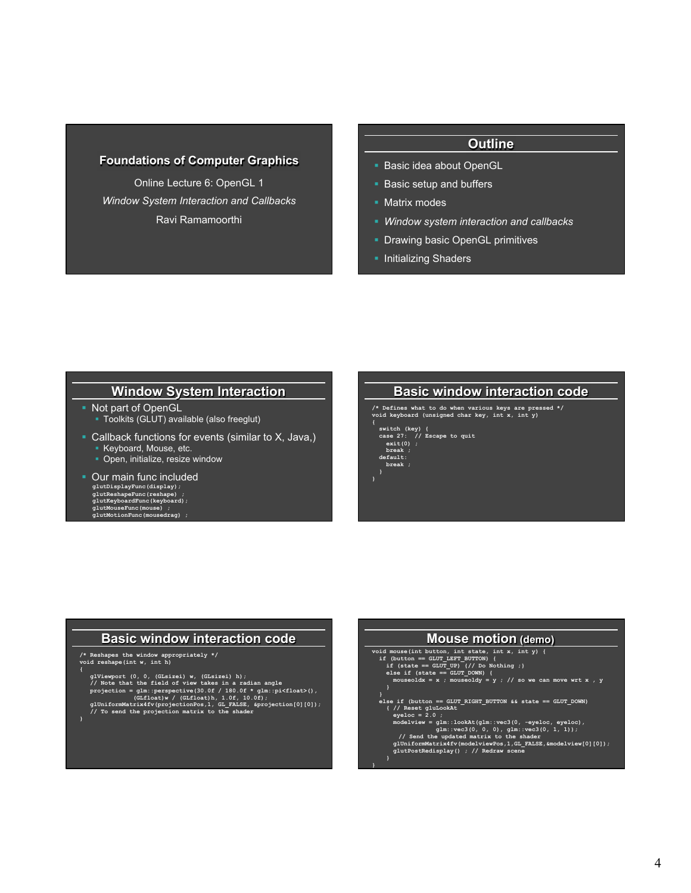## **Foundations of Computer Graphics**

Online Lecture 6: OpenGL 1 *Window System Interaction and Callbacks*  Ravi Ramamoorthi

## **Outline**

- **Basic idea about OpenGL**
- **Basic setup and buffers**
- § Matrix modes
- § *Window system interaction and callbacks*
- **Drawing basic OpenGL primitives**
- Initializing Shaders

## **Window System Interaction**

- § Not part of OpenGL § Toolkits (GLUT) available (also freeglut)
- Callback functions for events (similar to X, Java,)
	- § Keyboard, Mouse, etc.
	- § Open, initialize, resize window

#### • Our main func included

- **glutDisplayFunc(display); glutReshapeFunc(reshape) ; glutKeyboardFunc(keyboard); glutMouseFunc(mouse) ; glutMotionFunc(mousedrag) ;** 
	-

## **Basic window interaction code**

**/\* Defines what to do when various keys are pressed \*/ void keyboard (unsigned char key, int x, int y) { switch (key) { case 27: // Escape to quit exit(0) ; break ; default: break ; } }** 

## **Basic window interaction code**

**/\* Reshapes the window appropriately \*/ void reshape(int w, int h)** 

**}** 

glViewport (0, 0, (GLsizei) w, (GLsizei) h);<br>
// Note that the field of view takes in a radian angle<br>
projection = glm::perspective (30.0f / 180.0f \* glm:pi<float>(),<br>
(GLfloat)w / (GLfloat)h, 1.0f, 10.0f);<br>
glUniformMatri

# **Mouse motion (demo)** void mouse (int button, int is atte, int x, int y) {<br>if (button == GLUT\_LET\_BUTTON) {<br>if (state == GLUT\_UP) (// Do Nothing ;}<br>else if (state == GLUT\_UP) (// Do Nothing ;}<br>else if (state == GLUT\_DONN) {<br>mouseoldx = x ; mou

- 
- 
- 

**}** 

- 
- 
- )<br>
else if (button == GLUT\_RIGHT\_BUTTON && state == GLUT\_DOWN)<br>
{// Reset gluLookAt<br>
eyeloc = 2.0;<br>
modelview = glm::lookAt(glm::vec3(0, -eyeloc, eyeloc),<br>
modelview = glm::lookAt(glm::vec3(0, -eyeloc, eyeloc),<br>
dlm::vec3(
	-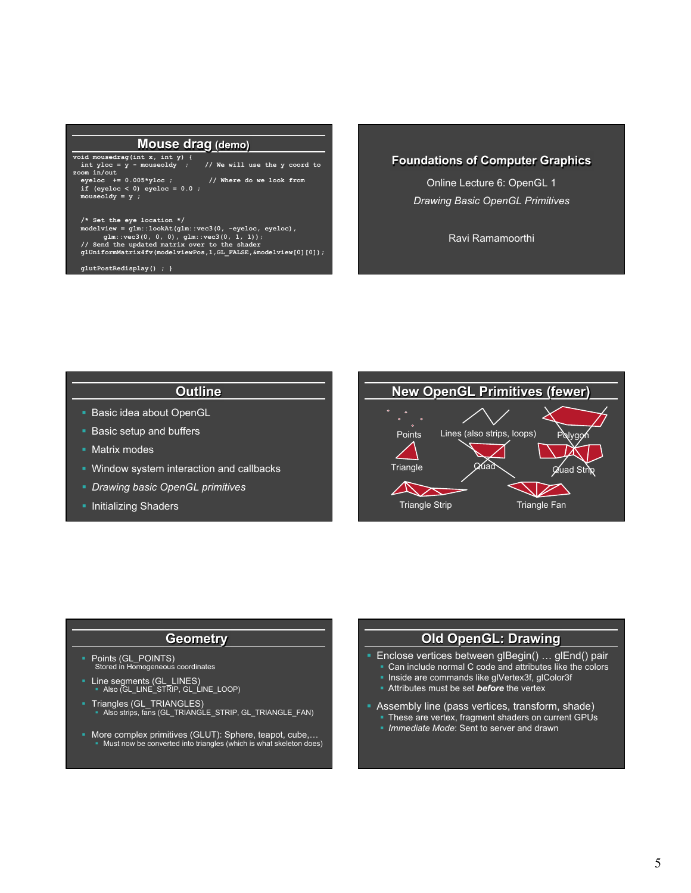## **Mouse drag (demo)**

**void mousedrag(int x, int y) { int yloc = y - mouseoldy ; // We will use the y coord to zoom in/out eyeloc += 0.005\*yloc ; // Where do we look from if (eyeloc < 0) eyeloc = 0.0 ; mouseoldy = y ; /\* Set the eye location \*/**  modelview = glm::lookAt(glm::vec3(0, -eyeloc, eyeloc),<br>glm::vec3(0, 0, 0), glm::vec3(0, 1, 1));<br>// Send the updated matrix over to the shader<br>glUniformMatrix4fv(modelviewPos,1,GL\_FALSE,&modelview[0][0]);

## **Foundations of Computer Graphics**

Online Lecture 6: OpenGL 1 *Drawing Basic OpenGL Primitives* 

Ravi Ramamoorthi

## **Outline**

- **Basic idea about OpenGL**
- Basic setup and buffers

 **glutPostRedisplay() ; }** 

- § Matrix modes
- § Window system interaction and callbacks
- § *Drawing basic OpenGL primitives*
- Initializing Shaders

**New OpenGL Primitives (fewer)**   $\ddot{\phantom{0}}$ . Points Lines (also strips, loops) Polygon Triangle Quad Quad Strip W Triangle Strip **Triangle Fan** 

## **Geometry**

- § Points (GL\_POINTS) Stored in Homogeneous coordinates
- § Line segments (GL\_LINES) § Also (GL\_LINE\_STRIP, GL\_LINE\_LOOP)
- § Triangles (GL\_TRIANGLES) § Also strips, fans (GL\_TRIANGLE\_STRIP, GL\_TRIANGLE\_FAN)
- § More complex primitives (GLUT): Sphere, teapot, cube,… § Must now be converted into triangles (which is what skeleton does)

## **Old OpenGL: Drawing**

- § Enclose vertices between glBegin() … glEnd() pair ■ Can include normal C code and attributes like the colors
- § Inside are commands like glVertex3f, glColor3f
- § Attributes must be set *before* the vertex
- § Assembly line (pass vertices, transform, shade) • These are vertex, fragment shaders on current GPUs
	- § *Immediate Mode*: Sent to server and drawn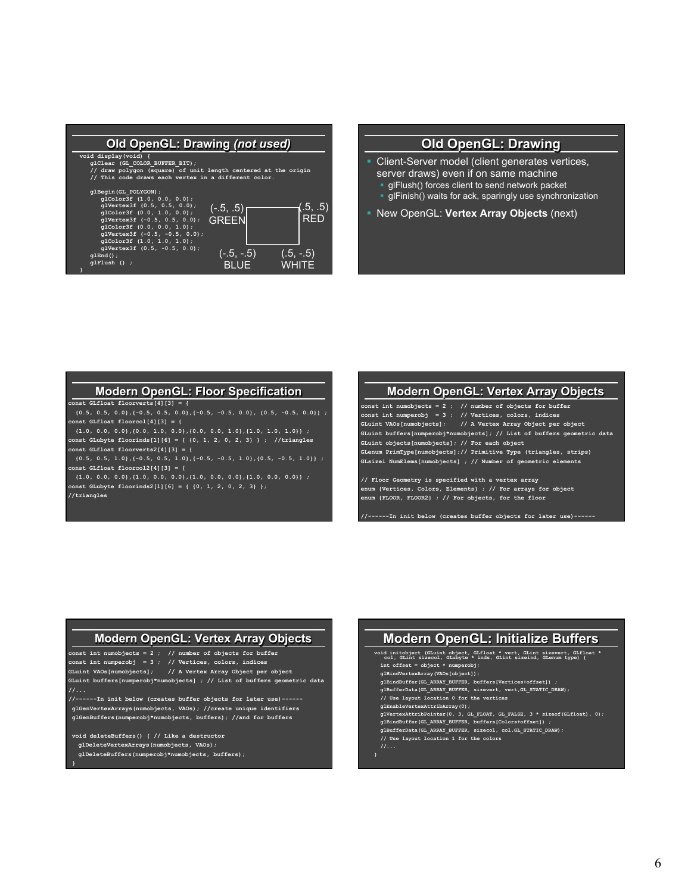| Old OpenGL: Drawing (not used)                                                                                                                                                                                                                     |                             |                       |
|----------------------------------------------------------------------------------------------------------------------------------------------------------------------------------------------------------------------------------------------------|-----------------------------|-----------------------|
| void display (void) {<br>glClear (GL COLOR BUFFER BIT) ;<br>// draw polygon (square) of unit length centered at the origin<br>// This code draws each vertex in a different color.                                                                 |                             |                       |
| glBegin (GL POLYGON) ;<br>q1Color3f (1.0, 0.0, 0.0);<br>qlVertex3f (0.5, 0.5, 0.0);<br>q1Color3f (0.0, 1.0, 0.0);<br>qlVertex3f $(-0.5, 0.5, 0.0);$<br>q1Color3f (0.0, 0.0, 1.0);<br>qlVertex3f $(-0.5, -0.5, 0.0);$<br>glColor3f (1.0, 1.0, 1.0); | $(-.5, .5)$<br><b>GREEN</b> | .5, .5)<br><b>RFD</b> |
| qlVertex3f $(0.5, -0.5, 0.0);$<br>$qlEnd()$ ;<br>$qIFlush$ () ;                                                                                                                                                                                    | $(-.5, -.5)$<br>BI UF       | $(.5, -.5)$<br>WHITF  |

## **Old OpenGL: Drawing**

- **Client-Server model (client generates vertices,** server draws) even if on same machine glFlush() forces client to send network packet
	- § glFinish() waits for ack, sparingly use synchronization
- § New OpenGL: **Vertex Array Objects** (next)

## **Modern OpenGL: Floor Specification**

**const GLfloat floorverts[4][3] = { {0.5, 0.5, 0.0},{-0.5, 0.5, 0.0},{-0.5, -0.5, 0.0}, {0.5, -0.5, 0.0}} ; const GLfloat floorcol[4][3] = {** 

- **{1.0, 0.0, 0.0},{0.0, 1.0, 0.0},{0.0, 0.0, 1.0},{1.0, 1.0, 1.0}} ; const GLubyte floorinds[1][6] = { {0, 1, 2, 0, 2, 3} } ; //triangles**
- **const GLfloat floorverts2[4][3] = {**
- **{0.5, 0.5, 1.0},{-0.5, 0.5, 1.0},{-0.5, -0.5, 1.0},{0.5, -0.5, 1.0}} ; const GLfloat floorcol2[4][3] = {**
- **{1.0, 0.0, 0.0},{1.0, 0.0, 0.0},{1.0, 0.0, 0.0},{1.0, 0.0, 0.0}} ; const GLubyte floorinds2[1][6] = { {0, 1, 2, 0, 2, 3} };**

**//triangles** 

## **Modern OpenGL: Vertex Array Objects**

**const int numobjects = 2 ; // number of objects for buffer const int numperobj = 3 ; // Vertices, colors, indices GLuint VAOs[numobjects]; // A Vertex Array Object per object GLuint buffers[numperobj\*numobjects]; // List of buffers geometric data GLuint objects[numobjects]; // For each object GLenum PrimType[numobjects];// Primitive Type (triangles, strips) GLsizei NumElems[numobjects] ; // Number of geometric elements** 

**// Floor Geometry is specified with a vertex array enum {Vertices, Colors, Elements} ; // For arrays for object enum {FLOOR, FLOOR2} ; // For objects, for the floor** 

**//------In init below (creates buffer objects for later use)------** 

## **Modern OpenGL: Vertex Array Objects**

**const int numobjects = 2 ; // number of objects for buffer const int numperobj = 3 ; // Vertices, colors, indices GLuint VAOs[numobjects]; // A Vertex Array Object per object GLuint buffers[numperobj\*numobjects] ; // List of buffers geometric data** 

**//------In init below (creates buffer objects for later use)----- glGenVertexArrays(numobjects, VAOs); //create unique identifiers glGenBuffers(numperobj\*numobjects, buffers); //and for buffers** 

 **void deleteBuffers() { // Like a destructor glDeleteVertexArrays(numobjects, VAOs); glDeleteBuffers(numperobj\*numobjects, buffers);** 

## **Modern OpenGL: Initialize Buffers**

- **void initobject (GLuint object, GLfloat \* vert, GLint sizevert, GLfloat \* col, GLint sizecol, GLubyte \* inds, GLint sizeind, GLenum type) { int offset = object \* numperobj;**
- **glBindVertexArray(VAOs[object]);**
- **glBindBuffer(GL\_ARRAY\_BUFFER, buffers[Vertices+offset]) ;**
- **glBufferData(GL\_ARRAY\_BUFFER, sizevert, vert,GL\_STATIC\_DRAW);**
- **// Use layout location 0 for the vertices glEnableVertexAttribArray(0);**
- **glVertexAttribPointer(0, 3, GL\_FLOAT, GL\_FALSE, 3 \* sizeof(GLfloat), 0);**
- **glBindBuffer(GL\_ARRAY\_BUFFER, buffers[Colors+offset]) ;**
- 
- **glBufferData(GL\_ARRAY\_BUFFER, sizecol, col,GL\_STATIC\_DRAW); // Use layout location 1 for the colors**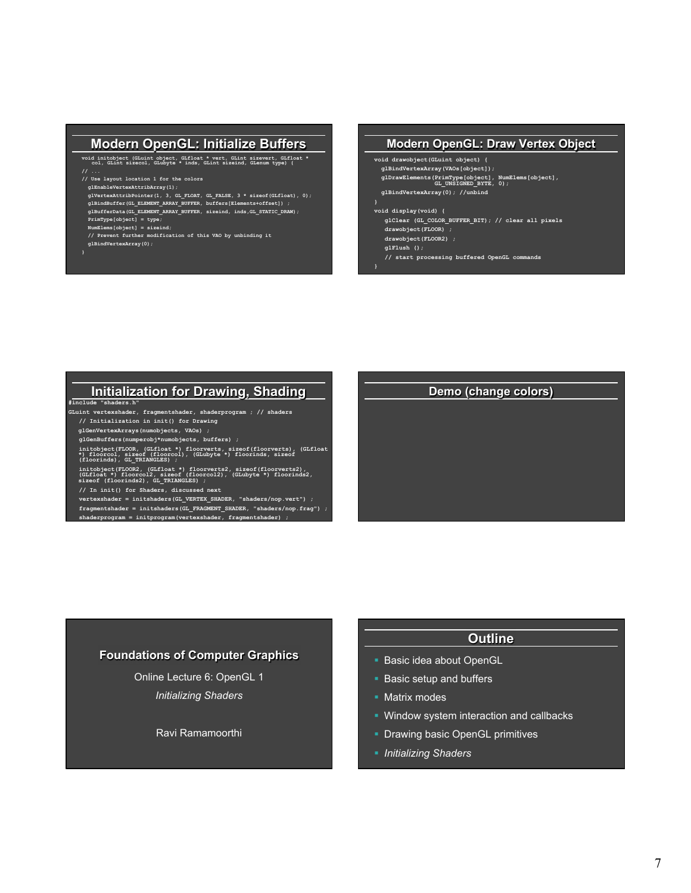## **Modern OpenGL: Initialize Buffers**

- **void initobject (GLuint object, GLfloat \* vert, GLint sizevert, GLfloat \* col, GLint sizecol, GLubyte \* inds, GLint sizeind, GLenum type) {**
- **// ... // Use layout location 1 for the colors**
- **glEnableVertexAttribArray(1);**
- **glVertexAttribPointer(1, 3, GL\_FLOAT, GL\_FALSE, 3 \* sizeof(GLfloat), 0); glBindBuffer(GL\_ELEMENT\_ARRAY\_BUFFER, buffers[Elements+offset]) ; glBufferData(GL\_ELEMENT\_ARRAY\_BUFFER, sizeind, inds,GL\_STATIC\_DRAW);**
- 
- **PrimType[object] = type; NumElems[object] = sizeind;**
- **// Prevent further modification of this VAO by unbinding it glBindVertexArray(0);**
- **}**

#### **Modern OpenGL: Draw Vertex Object**

**void drawobject(GLuint object) { glBindVertexArray(VAOs[object]);**  glDrawElements(PrimType[object], NumElems[object],<br>GL\_UNSIGNED\_BYTE, 0); <u>\_</u>  **glBindVertexArray(0); //unbind } void display(void) { glClear (GL\_COLOR\_BUFFER\_BIT); // clear all pixels drawobject(FLOOR) ; drawobject(FLOOR2) ; glFlush (); // start processing buffered OpenGL commands }** 

### **Initialization for Drawing, Shading #include "shaders.h"**

- **GLuint vertexshader, fragmentshader, shaderprogram ; // shaders**
	- **// Initialization in init() for Drawing**
	- **glGenVertexArrays(numobjects, VAOs) ;**
	- **glGenBuffers(numperobj\*numobjects, buffers) ; initobject(FLOOR, (GLfloat \*) floorverts, sizeof(floorverts), (GLfloat \*) floorcol, sizeof (floorcol), (GLubyte \*) floorinds, sizeof (floorinds), GL\_TRIANGLES) ;**
	- **initobject(FLOOR2, (GLfloat \*) floorverts2, sizeof(floorverts2), (GLfloat \*) floorcol2, sizeof (floorcol2), (GLubyte \*) floorinds2, sizeof (floorinds2), GL\_TRIANGLES) ;**
	- **// In init() for Shaders, discussed next**
	-
	- **vertexshader = initshaders(GL\_VERTEX\_SHADER, "shaders/nop.vert") ; fragmentshader = initshaders(GL\_FRAGMENT\_SHADER, "shaders/nop.frag") ; shaderprogram = initprogram(vertexshader, fragmentshader) ;**

# **Demo (change colors)**

#### **Foundations of Computer Graphics**

Online Lecture 6: OpenGL 1 *Initializing Shaders*

Ravi Ramamoorthi

## **Outline**

- **Basic idea about OpenGL**
- Basic setup and buffers
- Matrix modes
- § Window system interaction and callbacks
- **Drawing basic OpenGL primitives**
- § *Initializing Shaders*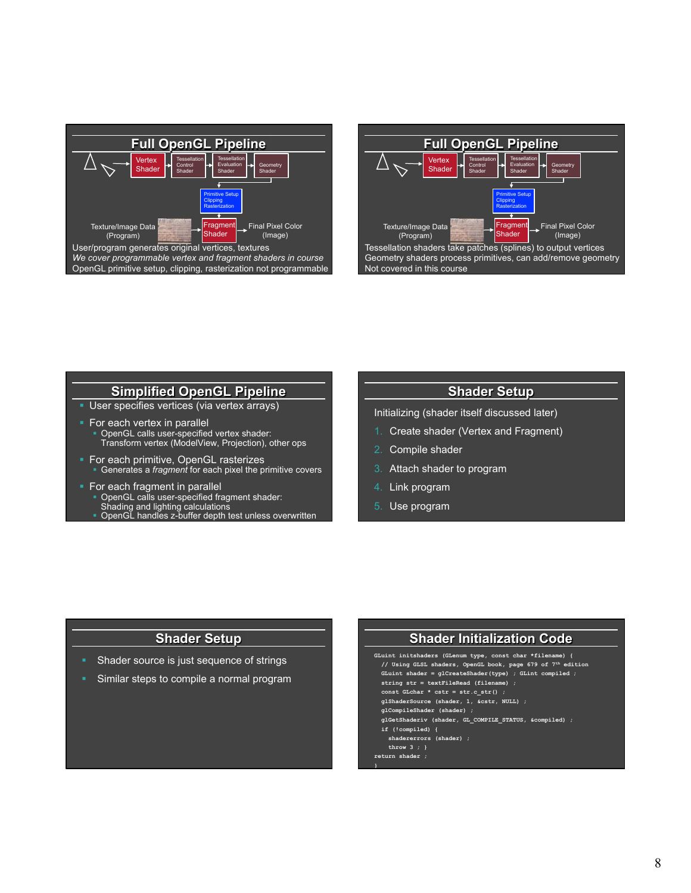



## **Simplified OpenGL Pipeline**

- User specifies vertices (via vertex arrays)
- § For each vertex in parallel
	- **OpenGL calls user-specified vertex shader:** Transform vertex (ModelView, Projection), other ops
- **For each primitive, OpenGL rasterizes** § Generates a *fragment* for each pixel the primitive covers
- For each fragment in parallel
	- § OpenGL calls user-specified fragment shader:
	- Shading and lighting calculations § OpenGL handles z-buffer depth test unless overwritten
	-

## **Shader Setup**

Initializing (shader itself discussed later)

- 1. Create shader (Vertex and Fragment)
- 2. Compile shader
- 3. Attach shader to program
- 4. Link program
- 5. Use program

## **Shader Setup**

- § Shader source is just sequence of strings
- § Similar steps to compile a normal program